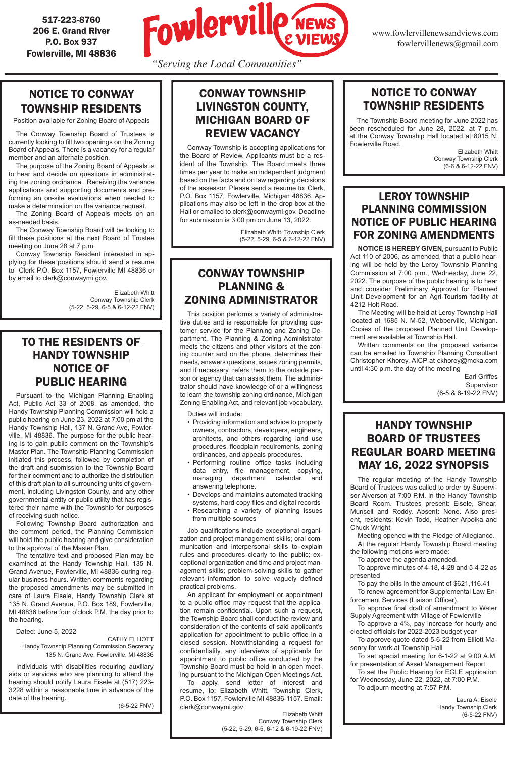

www.fowlervillenewsandviews.com fowlervillenews@gmail.com

517-223-8760 206 E. Grand River P.O. Box 937 Fowlerville, MI 48836

## NOTICE TO CONWAY TOWNSHIP RESIDENTS

The Township Board meeting for June 2022 has been rescheduled for June 28, 2022, at 7 p.m. at the Conway Township Hall located at 8015 N. Fowlerville Road.

> Elizabeth Whitt Conway Township Clerk (6-6 & 6-12-22 FNV)

#### TO THE RESIDENTS OF HANDY TOWNSHIP NOTICE OF PUBLIC HEARING

Pursuant to the Michigan Planning Enabling Act, Public Act 33 of 2008, as amended, the Handy Township Planning Commission will hold a public hearing on June 23, 2022 at 7:00 pm at the Handy Township Hall, 137 N. Grand Ave, Fowlerville, MI 48836. The purpose for the public hearing is to gain public comment on the Township's Master Plan. The Township Planning Commission initiated this process, followed by completion of the draft and submission to the Township Board for their comment and to authorize the distribution of this draft plan to all surrounding units of government, including Livingston County, and any other governmental entity or public utility that has registered their name with the Township for purposes of receiving such notice.

Following Township Board authorization and the comment period, the Planning Commission will hold the public hearing and give consideration to the approval of the Master Plan.

The tentative text and proposed Plan may be examined at the Handy Township Hall, 135 N. Grand Avenue, Fowlerville, MI 48836 during regular business hours. Written comments regarding the proposed amendments may be submitted in care of Laura Eisele, Handy Township Clerk at 135 N. Grand Avenue, P.O. Box 189, Fowlerville, MI 48836 before four o'clock P.M. the day prior to the hearing.

Dated: June 5, 2022

CATHY ELLIOTT Handy Township Planning Commission Secretary 135 N. Grand Ave, Fowlerville, MI 48836

Individuals with disabilities requiring auxiliary aids or services who are planning to attend the hearing should notify Laura Eisele at (517) 223- 3228 within a reasonable time in advance of the date of the hearing.

(6-5-22 FNV)

## HANDY TOWNSHIP BOARD OF TRUSTEES REGULAR BOARD MEETING MAY 16, 2022 SYNOPSIS

The regular meeting of the Handy Township Board of Trustees was called to order by Supervisor Alverson at 7:00 P.M. in the Handy Township Board Room. Trustees present: Eisele, Shear, Munsell and Roddy. Absent: None. Also present, residents: Kevin Todd, Heather Arpoika and Chuck Wright

Meeting opened with the Pledge of Allegiance.

At the regular Handy Township Board meeting the following motions were made:

To approve the agenda amended.

To approve minutes of 4-18, 4-28 and 5-4-22 as presented

To pay the bills in the amount of \$621,116.41

To renew agreement for Supplemental Law Enforcement Services (Liaison Officer).

To approve final draft of amendment to Water Supply Agreement with Village of Fowlerville To approve a 4%, pay increase for hourly and elected officials for 2022-2023 budget year To approve quote dated 5-6-22 from Elliott Masonry for work at Township Hall To set special meeting for 6-1-22 at 9:00 A.M. for presentation of Asset Management Report To set the Public Hearing for EGLE application for Wednesday, June 22, 2022, at 7:00 P.M. To adjourn meeting at 7:57 P.M.

> Laura A. Eisele Handy Township Clerk (6-5-22 FNV)

#### LEROY TOWNSHIP PLANNING COMMISSION NOTICE OF PUBLIC HEARING FOR ZONING AMENDMENTS

**NOTICE IS HEREBY GIVEN,** pursuant to Public Act 110 of 2006, as amended, that a public hearing will be held by the Leroy Township Planning Commission at 7:00 p.m., Wednesday, June 22, 2022. The purpose of the public hearing is to hear and consider Preliminary Approval for Planned Unit Development for an Agri-Tourism facility at 4212 Holt Road.

The Meeting will be held at Leroy Township Hall located at 1685 N. M-52, Webberville, Michigan. Copies of the proposed Planned Unit Development are available at Township Hall.

Written comments on the proposed variance can be emailed to Township Planning Consultant Christopher Khorey, AICP at ckhorey@mcka.com until 4:30 p.m. the day of the meeting

> Earl Griffes Supervisor (6-5 & 6-19-22 FNV)

#### CONWAY TOWNSHIP PLANNING & ZONING ADMINISTRATOR

This position performs a variety of administrative duties and is responsible for providing customer service for the Planning and Zoning Department. The Planning & Zoning Administrator meets the citizens and other visitors at the zoning counter and on the phone, determines their needs, answers questions, issues zoning permits, and if necessary, refers them to the outside person or agency that can assist them. The administrator should have knowledge of or a willingness to learn the township zoning ordinance, Michigan Zoning Enabling Act, and relevant job vocabulary.

Duties will include:

- Providing information and advice to property owners, contractors, developers, engineers, architects, and others regarding land use procedures, floodplain requirements, zoning ordinances, and appeals procedures.
- Performing routine office tasks including data entry, file management, copying, managing department calendar and answering telephone.
- Develops and maintains automated tracking systems, hard copy files and digital records
- Researching a variety of planning issues from multiple sources

 Job qualifications include exceptional organization and project management skills; oral communication and interpersonal skills to explain rules and procedures clearly to the public; exceptional organization and time and project management skills; problem-solving skills to gather relevant information to solve vaguely defined practical problems.

An applicant for employment or appointment to a public office may request that the application remain confidential. Upon such a request, the Township Board shall conduct the review and consideration of the contents of said applicant's application for appointment to public office in a closed session. Notwithstanding a request for confidentiality, any interviews of applicants for appointment to public office conducted by the Township Board must be held in an open meeting pursuant to the Michigan Open Meetings Act. To apply, send letter of interest and resume, to: Elizabeth Whitt, Township Clerk, P.O. Box 1157, Fowlerville MI 48836-1157. Email: clerk@conwaymi.gov Elizabeth Whitt Conway Township Clerk (5-22, 5-29, 6-5, 6-12 & 6-19-22 FNV)

## CONWAY TOWNSHIP LIVINGSTON COUNTY, MICHIGAN BOARD OF REVIEW VACANCY

Conway Township is accepting applications for the Board of Review. Applicants must be a resident of the Township. The Board meets three times per year to make an independent judgment based on the facts and on law regarding decisions of the assessor. Please send a resume to: Clerk, P.O. Box 1157, Fowlerville, Michigan 48836. Applications may also be left in the drop box at the Hall or emailed to clerk@conwaymi.gov. Deadline for submission is 3:00 pm on June 13, 2022.

> Elizabeth Whitt, Township Clerk (5-22, 5-29, 6-5 & 6-12-22 FNV)

## NOTICE TO CONWAY TOWNSHIP RESIDENTS

Position available for Zoning Board of Appeals

The Conway Township Board of Trustees is currently looking to fill two openings on the Zoning Board of Appeals. There is a vacancy for a regular member and an alternate position.

The purpose of the Zoning Board of Appeals is to hear and decide on questions in administrating the zoning ordinance. Receiving the variance applications and supporting documents and preforming an on-site evaluations when needed to make a determination on the variance request.

The Zoning Board of Appeals meets on an as-needed basis.

The Conway Township Board will be looking to fill these positions at the next Board of Trustee meeting on June 28 at 7 p.m.

Conway Township Resident interested in applying for these positions should send a resume to Clerk P.O. Box 1157, Fowlerville MI 48836 or by email to clerk@conwaymi.gov.

> Elizabeth Whitt Conway Township Clerk (5-22, 5-29, 6-5 & 6-12-22 FNV)